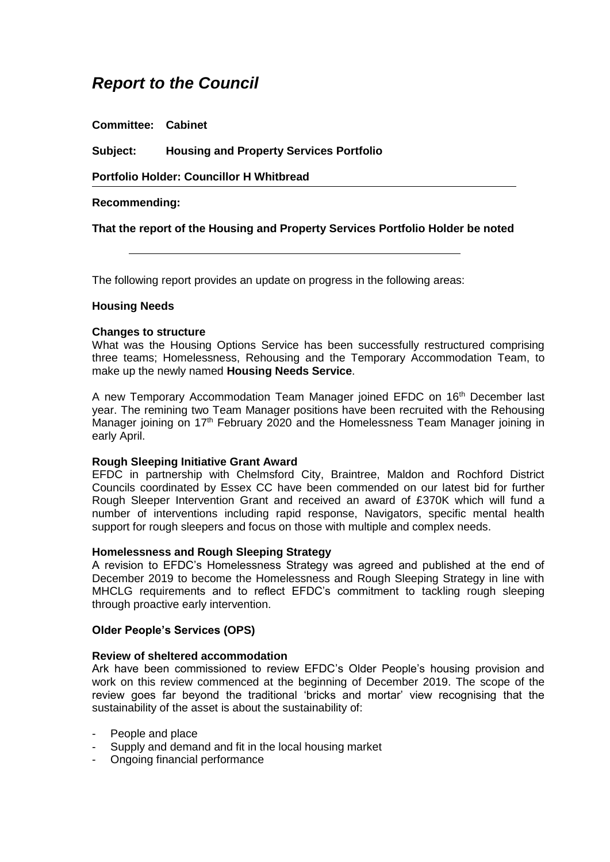# *Report to the Council*

**Committee: Cabinet**

**Subject: Housing and Property Services Portfolio**

**Portfolio Holder: Councillor H Whitbread**

# **Recommending:**

**That the report of the Housing and Property Services Portfolio Holder be noted**

The following report provides an update on progress in the following areas:

# **Housing Needs**

#### **Changes to structure**

What was the Housing Options Service has been successfully restructured comprising three teams; Homelessness, Rehousing and the Temporary Accommodation Team, to make up the newly named **Housing Needs Service**.

A new Temporary Accommodation Team Manager joined EFDC on 16<sup>th</sup> December last year. The remining two Team Manager positions have been recruited with the Rehousing Manager joining on 17<sup>th</sup> February 2020 and the Homelessness Team Manager joining in early April.

#### **Rough Sleeping Initiative Grant Award**

EFDC in partnership with Chelmsford City, Braintree, Maldon and Rochford District Councils coordinated by Essex CC have been commended on our latest bid for further Rough Sleeper Intervention Grant and received an award of £370K which will fund a number of interventions including rapid response, Navigators, specific mental health support for rough sleepers and focus on those with multiple and complex needs.

# **Homelessness and Rough Sleeping Strategy**

A revision to EFDC's Homelessness Strategy was agreed and published at the end of December 2019 to become the Homelessness and Rough Sleeping Strategy in line with MHCLG requirements and to reflect EFDC's commitment to tackling rough sleeping through proactive early intervention.

# **Older People's Services (OPS)**

#### **Review of sheltered accommodation**

Ark have been commissioned to review EFDC's Older People's housing provision and work on this review commenced at the beginning of December 2019. The scope of the review goes far beyond the traditional 'bricks and mortar' view recognising that the sustainability of the asset is about the sustainability of:

- People and place
- Supply and demand and fit in the local housing market
- Ongoing financial performance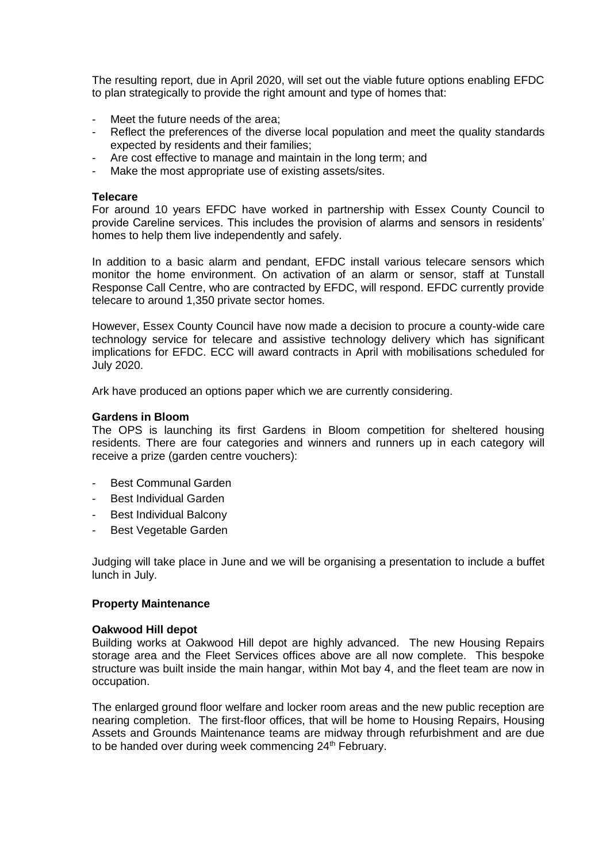The resulting report, due in April 2020, will set out the viable future options enabling EFDC to plan strategically to provide the right amount and type of homes that:

- Meet the future needs of the area;
- Reflect the preferences of the diverse local population and meet the quality standards expected by residents and their families;
- Are cost effective to manage and maintain in the long term; and
- Make the most appropriate use of existing assets/sites.

# **Telecare**

For around 10 years EFDC have worked in partnership with Essex County Council to provide Careline services. This includes the provision of alarms and sensors in residents' homes to help them live independently and safely.

In addition to a basic alarm and pendant, EFDC install various telecare sensors which monitor the home environment. On activation of an alarm or sensor, staff at Tunstall Response Call Centre, who are contracted by EFDC, will respond. EFDC currently provide telecare to around 1,350 private sector homes.

However, Essex County Council have now made a decision to procure a county-wide care technology service for telecare and assistive technology delivery which has significant implications for EFDC. ECC will award contracts in April with mobilisations scheduled for July 2020.

Ark have produced an options paper which we are currently considering.

#### **Gardens in Bloom**

The OPS is launching its first Gardens in Bloom competition for sheltered housing residents. There are four categories and winners and runners up in each category will receive a prize (garden centre vouchers):

- Best Communal Garden
- Best Individual Garden
- Best Individual Balcony
- Best Vegetable Garden

Judging will take place in June and we will be organising a presentation to include a buffet lunch in July.

#### **Property Maintenance**

#### **Oakwood Hill depot**

Building works at Oakwood Hill depot are highly advanced. The new Housing Repairs storage area and the Fleet Services offices above are all now complete. This bespoke structure was built inside the main hangar, within Mot bay 4, and the fleet team are now in occupation.

The enlarged ground floor welfare and locker room areas and the new public reception are nearing completion. The first-floor offices, that will be home to Housing Repairs, Housing Assets and Grounds Maintenance teams are midway through refurbishment and are due to be handed over during week commencing 24<sup>th</sup> February.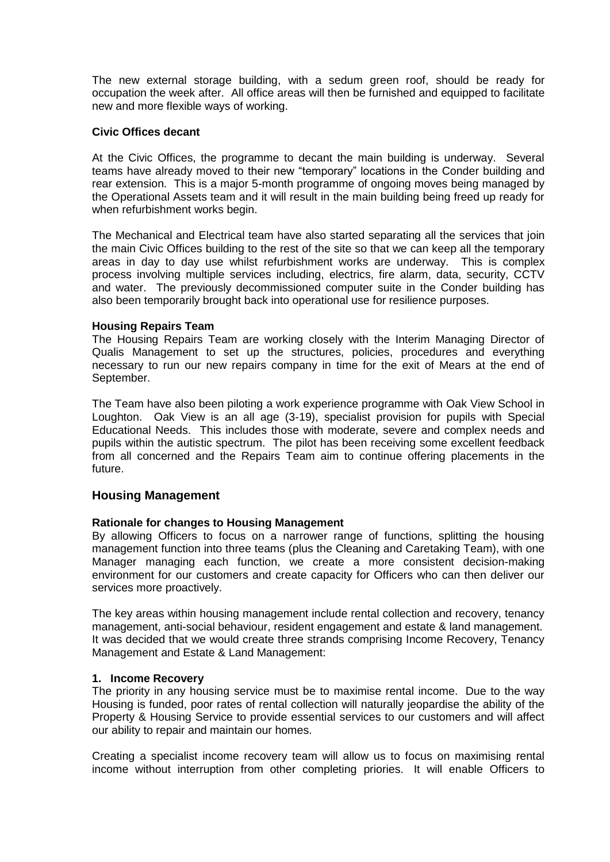The new external storage building, with a sedum green roof, should be ready for occupation the week after. All office areas will then be furnished and equipped to facilitate new and more flexible ways of working.

## **Civic Offices decant**

At the Civic Offices, the programme to decant the main building is underway. Several teams have already moved to their new "temporary" locations in the Conder building and rear extension. This is a major 5-month programme of ongoing moves being managed by the Operational Assets team and it will result in the main building being freed up ready for when refurbishment works begin.

The Mechanical and Electrical team have also started separating all the services that join the main Civic Offices building to the rest of the site so that we can keep all the temporary areas in day to day use whilst refurbishment works are underway. This is complex process involving multiple services including, electrics, fire alarm, data, security, CCTV and water. The previously decommissioned computer suite in the Conder building has also been temporarily brought back into operational use for resilience purposes.

# **Housing Repairs Team**

The Housing Repairs Team are working closely with the Interim Managing Director of Qualis Management to set up the structures, policies, procedures and everything necessary to run our new repairs company in time for the exit of Mears at the end of September.

The Team have also been piloting a work experience programme with Oak View School in Loughton. Oak View is an all age (3-19), specialist provision for pupils with Special Educational Needs. This includes those with moderate, severe and complex needs and pupils within the autistic spectrum. The pilot has been receiving some excellent feedback from all concerned and the Repairs Team aim to continue offering placements in the future.

# **Housing Management**

## **Rationale for changes to Housing Management**

By allowing Officers to focus on a narrower range of functions, splitting the housing management function into three teams (plus the Cleaning and Caretaking Team), with one Manager managing each function, we create a more consistent decision-making environment for our customers and create capacity for Officers who can then deliver our services more proactively.

The key areas within housing management include rental collection and recovery, tenancy management, anti-social behaviour, resident engagement and estate & land management. It was decided that we would create three strands comprising Income Recovery, Tenancy Management and Estate & Land Management:

## **1. Income Recovery**

The priority in any housing service must be to maximise rental income. Due to the way Housing is funded, poor rates of rental collection will naturally jeopardise the ability of the Property & Housing Service to provide essential services to our customers and will affect our ability to repair and maintain our homes.

Creating a specialist income recovery team will allow us to focus on maximising rental income without interruption from other completing priories. It will enable Officers to